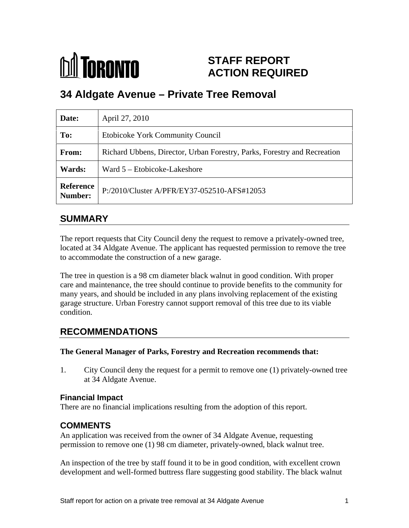

# **STAFF REPORT ACTION REQUIRED**

# **34 Aldgate Avenue – Private Tree Removal**

| Date:  | April 27, 2010                                                           |
|--------|--------------------------------------------------------------------------|
| To:    | <b>Etobicoke York Community Council</b>                                  |
| From:  | Richard Ubbens, Director, Urban Forestry, Parks, Forestry and Recreation |
| Wards: | Ward 5 – Etobicoke-Lakeshore                                             |
|        | Reference P:/2010/Cluster A/PFR/EY37-052510-AFS#12053                    |

## **SUMMARY**

The report requests that City Council deny the request to remove a privately-owned tree, located at 34 Aldgate Avenue. The applicant has requested permission to remove the tree to accommodate the construction of a new garage.

The tree in question is a 98 cm diameter black walnut in good condition. With proper care and maintenance, the tree should continue to provide benefits to the community for many years, and should be included in any plans involving replacement of the existing garage structure. Urban Forestry cannot support removal of this tree due to its viable condition.

## **RECOMMENDATIONS**

#### **The General Manager of Parks, Forestry and Recreation recommends that:**

1. City Council deny the request for a permit to remove one (1) privately-owned tree at 34 Aldgate Avenue.

### **Financial Impact**

There are no financial implications resulting from the adoption of this report.

## **COMMENTS**

An application was received from the owner of 34 Aldgate Avenue, requesting permission to remove one (1) 98 cm diameter, privately-owned, black walnut tree.

An inspection of the tree by staff found it to be in good condition, with excellent crown development and well-formed buttress flare suggesting good stability. The black walnut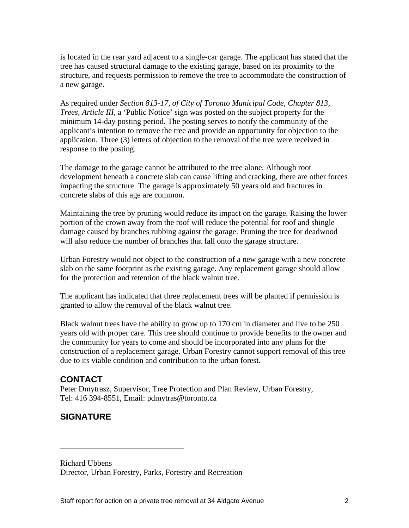is located in the rear yard adjacent to a single-car garage. The applicant has stated that the tree has caused structural damage to the existing garage, based on its proximity to the structure, and requests permission to remove the tree to accommodate the construction of a new garage.

As required under *Section 813-17, of City of Toronto Municipal Code, Chapter 813, Trees, Article III*, a 'Public Notice' sign was posted on the subject property for the minimum 14-day posting period. The posting serves to notify the community of the applicant's intention to remove the tree and provide an opportunity for objection to the application. Three (3) letters of objection to the removal of the tree were received in response to the posting.

The damage to the garage cannot be attributed to the tree alone. Although root development beneath a concrete slab can cause lifting and cracking, there are other forces impacting the structure. The garage is approximately 50 years old and fractures in concrete slabs of this age are common.

Maintaining the tree by pruning would reduce its impact on the garage. Raising the lower portion of the crown away from the roof will reduce the potential for roof and shingle damage caused by branches rubbing against the garage. Pruning the tree for deadwood will also reduce the number of branches that fall onto the garage structure.

Urban Forestry would not object to the construction of a new garage with a new concrete slab on the same footprint as the existing garage. Any replacement garage should allow for the protection and retention of the black walnut tree.

The applicant has indicated that three replacement trees will be planted if permission is granted to allow the removal of the black walnut tree.

Black walnut trees have the ability to grow up to 170 cm in diameter and live to be 250 years old with proper care. This tree should continue to provide benefits to the owner and the community for years to come and should be incorporated into any plans for the construction of a replacement garage. Urban Forestry cannot support removal of this tree due to its viable condition and contribution to the urban forest.

## **CONTACT**

Peter Dmytrasz, Supervisor, Tree Protection and Plan Review, Urban Forestry, Tel: 416 394-8551, Email: pdmytras@toronto.ca

## **SIGNATURE**

Richard Ubbens Director, Urban Forestry, Parks, Forestry and Recreation

 $\overline{\phantom{a}}$  , we can assume that the contract of  $\overline{\phantom{a}}$  , we can assume that the contract of  $\overline{\phantom{a}}$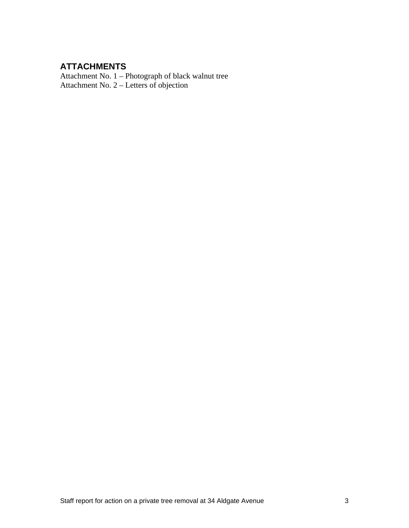## **ATTACHMENTS**

Attachment No. 1 – Photograph of black walnut tree Attachment No. 2 – Letters of objection